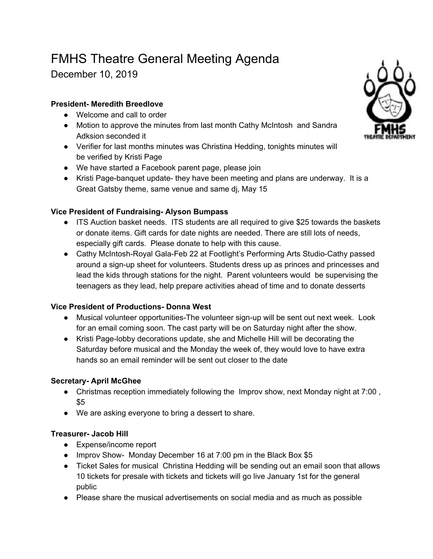# FMHS Theatre General Meeting Agenda

December 10, 2019

## **President- Meredith Breedlove**

- Welcome and call to order
- Motion to approve the minutes from last month Cathy McIntosh and Sandra Adksion seconded it
- Verifier for last months minutes was Christina Hedding, tonights minutes will be verified by Kristi Page
- We have started a Facebook parent page, please join
- Kristi Page-banquet update- they have been meeting and plans are underway. It is a Great Gatsby theme, same venue and same dj, May 15

## **Vice President of Fundraising- Alyson Bumpass**

- ITS Auction basket needs. ITS students are all required to give \$25 towards the baskets or donate items. Gift cards for date nights are needed. There are still lots of needs, especially gift cards. Please donate to help with this cause.
- Cathy McIntosh-Royal Gala-Feb 22 at Footlight's Performing Arts Studio-Cathy passed around a sign-up sheet for volunteers. Students dress up as princes and princesses and lead the kids through stations for the night. Parent volunteers would be supervising the teenagers as they lead, help prepare activities ahead of time and to donate desserts

#### **Vice President of Productions- Donna West**

- Musical volunteer opportunities-The volunteer sign-up will be sent out next week. Look for an email coming soon. The cast party will be on Saturday night after the show.
- Kristi Page-lobby decorations update, she and Michelle Hill will be decorating the Saturday before musical and the Monday the week of, they would love to have extra hands so an email reminder will be sent out closer to the date

#### **Secretary- April McGhee**

- Christmas reception immediately following the Improv show, next Monday night at 7:00 , \$5
- We are asking everyone to bring a dessert to share.

#### **Treasurer- Jacob Hill**

- Expense/income report
- Improv Show- Monday December 16 at 7:00 pm in the Black Box \$5
- Ticket Sales for musical Christina Hedding will be sending out an email soon that allows 10 tickets for presale with tickets and tickets will go live January 1st for the general public
- Please share the musical advertisements on social media and as much as possible

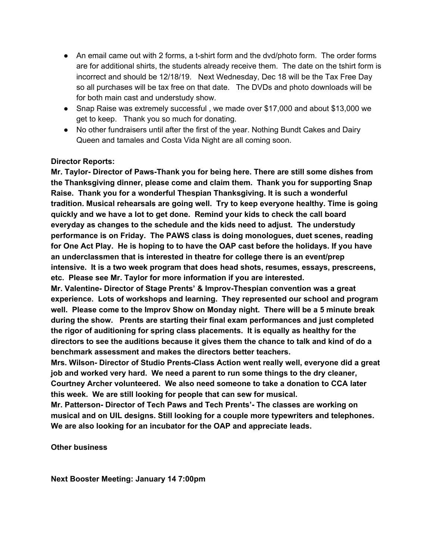- An email came out with 2 forms, a t-shirt form and the dvd/photo form. The order forms are for additional shirts, the students already receive them. The date on the tshirt form is incorrect and should be 12/18/19. Next Wednesday, Dec 18 will be the Tax Free Day so all purchases will be tax free on that date. The DVDs and photo downloads will be for both main cast and understudy show.
- Snap Raise was extremely successful , we made over \$17,000 and about \$13,000 we get to keep. Thank you so much for donating.
- No other fundraisers until after the first of the year. Nothing Bundt Cakes and Dairy Queen and tamales and Costa Vida Night are all coming soon.

#### **Director Reports:**

**Mr. Taylor- Director of Paws-Thank you for being here. There are still some dishes from the Thanksgiving dinner, please come and claim them. Thank you for supporting Snap Raise. Thank you for a wonderful Thespian Thanksgiving. It is such a wonderful tradition. Musical rehearsals are going well. Try to keep everyone healthy. Time is going quickly and we have a lot to get done. Remind your kids to check the call board everyday as changes to the schedule and the kids need to adjust. The understudy performance is on Friday. The PAWS class is doing monologues, duet scenes, reading for One Act Play. He is hoping to to have the OAP cast before the holidays. If you have an underclassmen that is interested in theatre for college there is an event/prep intensive. It is a two week program that does head shots, resumes, essays, prescreens, etc. Please see Mr. Taylor for more information if you are interested.**

**Mr. Valentine- Director of Stage Prents' & Improv-Thespian convention was a great experience. Lots of workshops and learning. They represented our school and program well. Please come to the Improv Show on Monday night. There will be a 5 minute break during the show. Prents are starting their final exam performances and just completed the rigor of auditioning for spring class placements. It is equally as healthy for the directors to see the auditions because it gives them the chance to talk and kind of do a benchmark assessment and makes the directors better teachers.**

**Mrs. Wilson- Director of Studio Prents-Class Action went really well, everyone did a great job and worked very hard. We need a parent to run some things to the dry cleaner, Courtney Archer volunteered. We also need someone to take a donation to CCA later this week. We are still looking for people that can sew for musical.**

**Mr. Patterson- Director of Tech Paws and Tech Prents'- The classes are working on musical and on UIL designs. Still looking for a couple more typewriters and telephones. We are also looking for an incubator for the OAP and appreciate leads.**

**Other business**

**Next Booster Meeting: January 14 7:00pm**